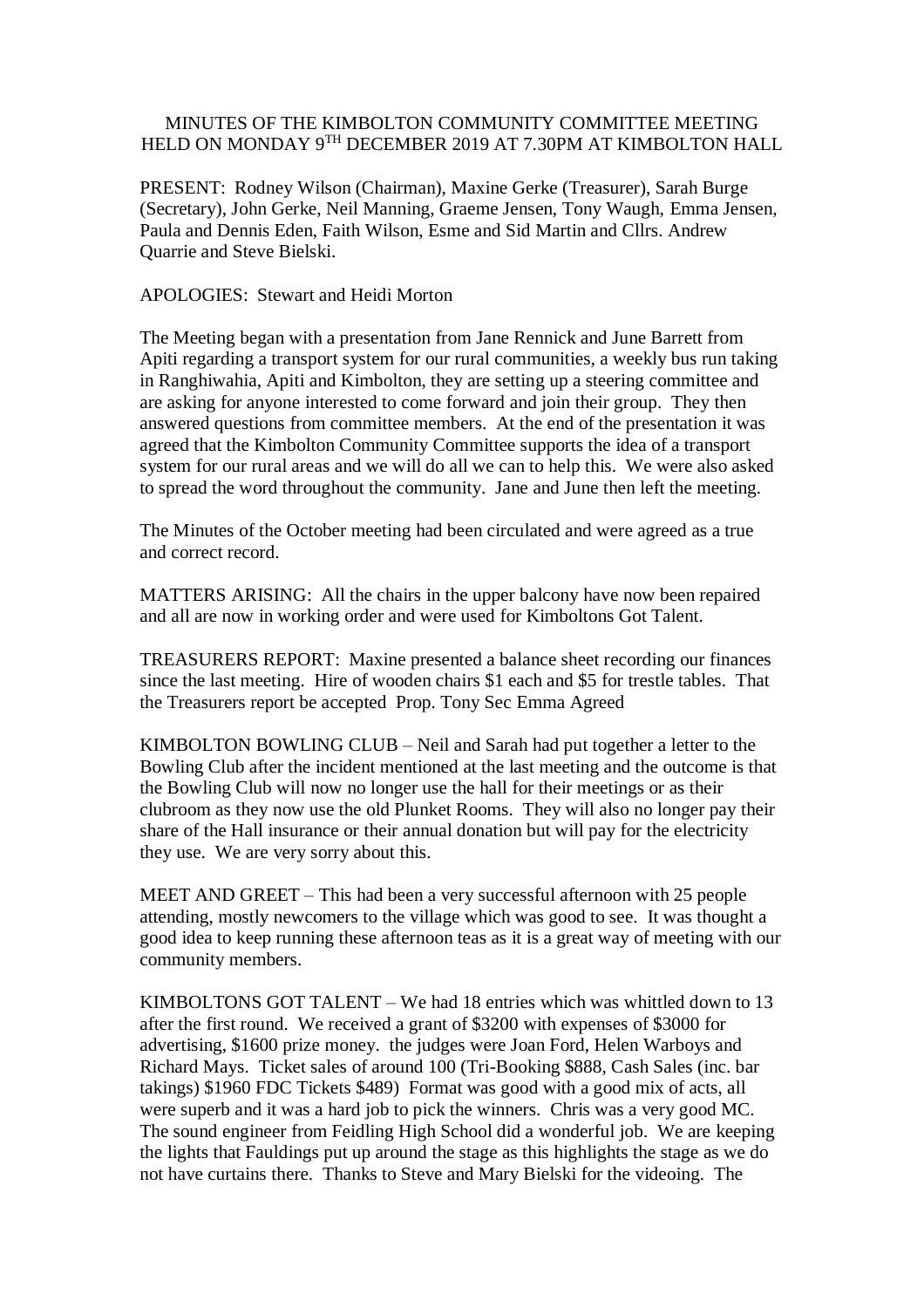## MINUTES OF THE KIMBOLTON COMMUNITY COMMITTEE MEETING HELD ON MONDAY 9TH DECEMBER 2019 AT 7.30PM AT KIMBOLTON HALL

PRESENT: Rodney Wilson (Chairman), Maxine Gerke (Treasurer), Sarah Burge (Secretary), John Gerke, Neil Manning, Graeme Jensen, Tony Waugh, Emma Jensen, Paula and Dennis Eden, Faith Wilson, Esme and Sid Martin and Cllrs. Andrew Quarrie and Steve Bielski.

APOLOGIES: Stewart and Heidi Morton

The Meeting began with a presentation from Jane Rennick and June Barrett from Apiti regarding a transport system for our rural communities, a weekly bus run taking in Ranghiwahia, Apiti and Kimbolton, they are setting up a steering committee and are asking for anyone interested to come forward and join their group. They then answered questions from committee members. At the end of the presentation it was agreed that the Kimbolton Community Committee supports the idea of a transport system for our rural areas and we will do all we can to help this. We were also asked to spread the word throughout the community. Jane and June then left the meeting.

The Minutes of the October meeting had been circulated and were agreed as a true and correct record.

MATTERS ARISING: All the chairs in the upper balcony have now been repaired and all are now in working order and were used for Kimboltons Got Talent.

TREASURERS REPORT: Maxine presented a balance sheet recording our finances since the last meeting. Hire of wooden chairs \$1 each and \$5 for trestle tables. That the Treasurers report be accepted Prop. Tony Sec Emma Agreed

KIMBOLTON BOWLING CLUB – Neil and Sarah had put together a letter to the Bowling Club after the incident mentioned at the last meeting and the outcome is that the Bowling Club will now no longer use the hall for their meetings or as their clubroom as they now use the old Plunket Rooms. They will also no longer pay their share of the Hall insurance or their annual donation but will pay for the electricity they use. We are very sorry about this.

MEET AND GREET – This had been a very successful afternoon with 25 people attending, mostly newcomers to the village which was good to see. It was thought a good idea to keep running these afternoon teas as it is a great way of meeting with our community members.

KIMBOLTONS GOT TALENT – We had 18 entries which was whittled down to 13 after the first round. We received a grant of \$3200 with expenses of \$3000 for advertising, \$1600 prize money. the judges were Joan Ford, Helen Warboys and Richard Mays. Ticket sales of around 100 (Tri-Booking \$888, Cash Sales (inc. bar takings) \$1960 FDC Tickets \$489) Format was good with a good mix of acts, all were superb and it was a hard job to pick the winners. Chris was a very good MC. The sound engineer from Feidling High School did a wonderful job. We are keeping the lights that Fauldings put up around the stage as this highlights the stage as we do not have curtains there. Thanks to Steve and Mary Bielski for the videoing. The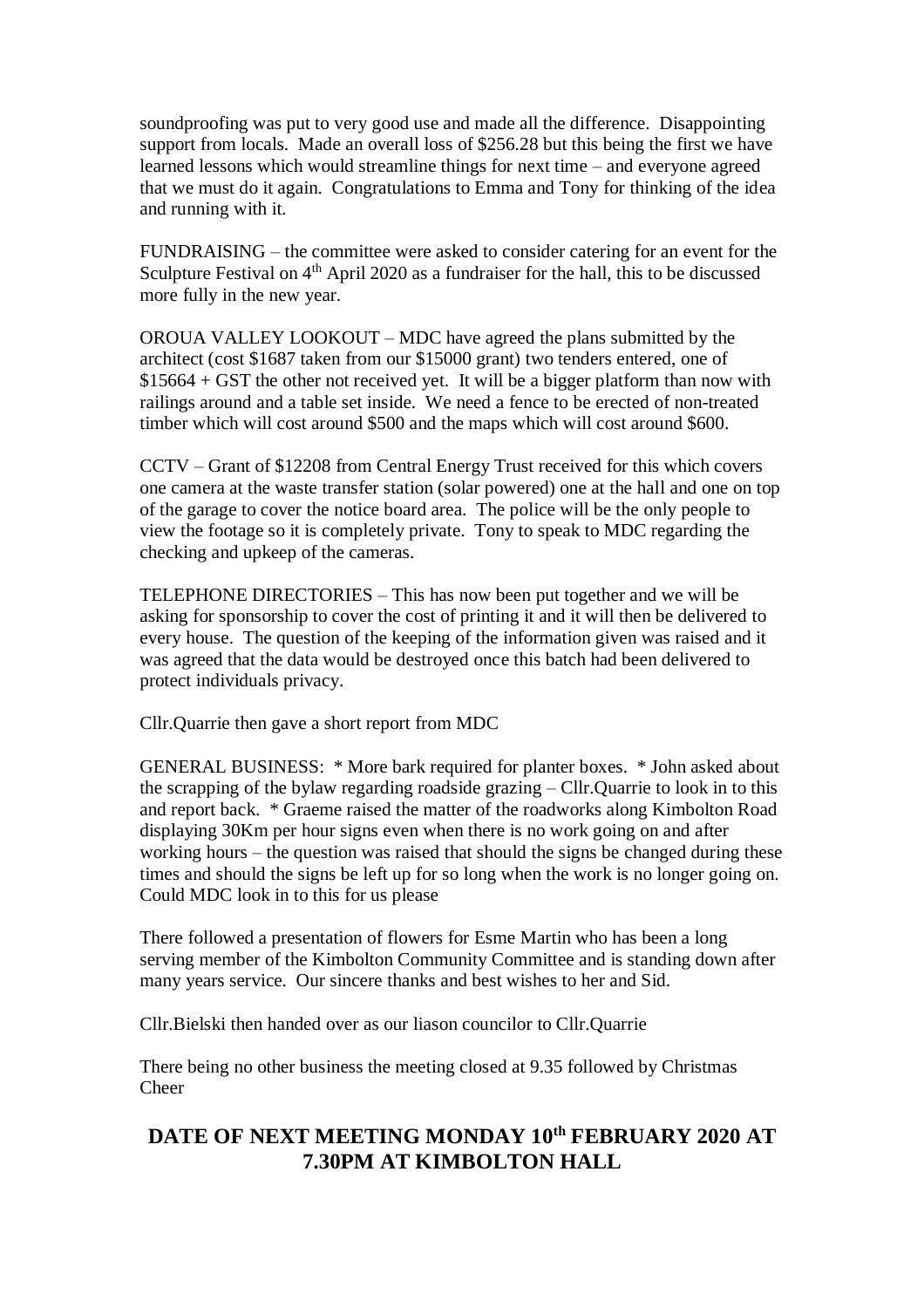soundproofing was put to very good use and made all the difference. Disappointing support from locals. Made an overall loss of \$256.28 but this being the first we have learned lessons which would streamline things for next time – and everyone agreed that we must do it again. Congratulations to Emma and Tony for thinking of the idea and running with it.

FUNDRAISING – the committee were asked to consider catering for an event for the Sculpture Festival on  $4<sup>th</sup>$  April 2020 as a fundraiser for the hall, this to be discussed more fully in the new year.

OROUA VALLEY LOOKOUT – MDC have agreed the plans submitted by the architect (cost \$1687 taken from our \$15000 grant) two tenders entered, one of \$15664 + GST the other not received yet. It will be a bigger platform than now with railings around and a table set inside. We need a fence to be erected of non-treated timber which will cost around \$500 and the maps which will cost around \$600.

CCTV – Grant of \$12208 from Central Energy Trust received for this which covers one camera at the waste transfer station (solar powered) one at the hall and one on top of the garage to cover the notice board area. The police will be the only people to view the footage so it is completely private. Tony to speak to MDC regarding the checking and upkeep of the cameras.

TELEPHONE DIRECTORIES – This has now been put together and we will be asking for sponsorship to cover the cost of printing it and it will then be delivered to every house. The question of the keeping of the information given was raised and it was agreed that the data would be destroyed once this batch had been delivered to protect individuals privacy.

Cllr.Quarrie then gave a short report from MDC

GENERAL BUSINESS: \* More bark required for planter boxes. \* John asked about the scrapping of the bylaw regarding roadside grazing – Cllr.Quarrie to look in to this and report back. \* Graeme raised the matter of the roadworks along Kimbolton Road displaying 30Km per hour signs even when there is no work going on and after working hours – the question was raised that should the signs be changed during these times and should the signs be left up for so long when the work is no longer going on. Could MDC look in to this for us please

There followed a presentation of flowers for Esme Martin who has been a long serving member of the Kimbolton Community Committee and is standing down after many years service. Our sincere thanks and best wishes to her and Sid.

Cllr.Bielski then handed over as our liason councilor to Cllr.Quarrie

There being no other business the meeting closed at 9.35 followed by Christmas Cheer

## **DATE OF NEXT MEETING MONDAY 10th FEBRUARY 2020 AT 7.30PM AT KIMBOLTON HALL**